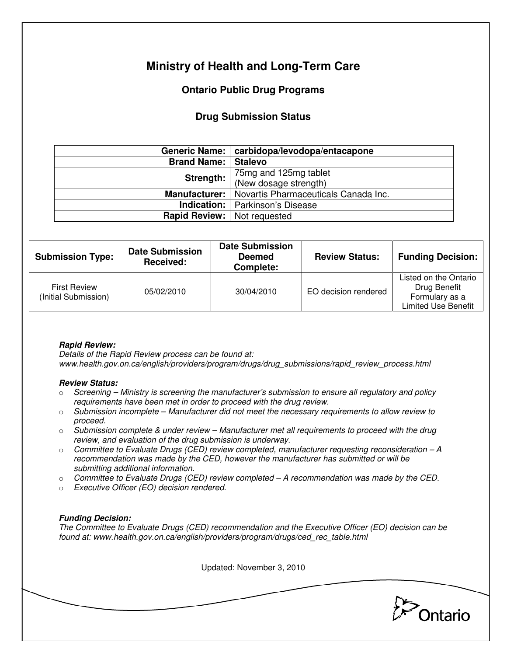# **Ministry of Health and Long-Term Care**

## **Ontario Public Drug Programs**

### **Drug Submission Status**

|                                                       | Generic Name:   carbidopa/levodopa/entacapone |  |
|-------------------------------------------------------|-----------------------------------------------|--|
| <b>Brand Name:   Stalevo</b>                          |                                               |  |
| Strength:                                             | 75mg and 125mg tablet                         |  |
|                                                       | (New dosage strength)                         |  |
| Manufacturer:<br>Novartis Pharmaceuticals Canada Inc. |                                               |  |
|                                                       | <b>Indication:</b>   Parkinson's Disease      |  |
| <b>Rapid Review:</b> Not requested                    |                                               |  |

| <b>Submission Type:</b>                     | <b>Date Submission</b><br>Received: | <b>Date Submission</b><br><b>Deemed</b><br>Complete: | <b>Review Status:</b> | <b>Funding Decision:</b>                                                              |
|---------------------------------------------|-------------------------------------|------------------------------------------------------|-----------------------|---------------------------------------------------------------------------------------|
| <b>First Review</b><br>(Initial Submission) | 05/02/2010                          | 30/04/2010                                           | EO decision rendered  | Listed on the Ontario<br>Drug Benefit<br>Formulary as a<br><b>Limited Use Benefit</b> |

### **Rapid Review:**

Details of the Rapid Review process can be found at: www.health.gov.on.ca/english/providers/program/drugs/drug\_submissions/rapid\_review\_process.html

#### **Review Status:**

- $\circ$  Screening Ministry is screening the manufacturer's submission to ensure all regulatory and policy requirements have been met in order to proceed with the drug review.
- $\circ$  Submission incomplete Manufacturer did not meet the necessary requirements to allow review to proceed.
- $\circ$  Submission complete & under review Manufacturer met all requirements to proceed with the drug review, and evaluation of the drug submission is underway.
- $\circ$  Committee to Evaluate Drugs (CED) review completed, manufacturer requesting reconsideration  $-A$ recommendation was made by the CED, however the manufacturer has submitted or will be submitting additional information.
- $\circ$  Committee to Evaluate Drugs (CED) review completed A recommendation was made by the CED.
- o Executive Officer (EO) decision rendered.

### **Funding Decision:**

The Committee to Evaluate Drugs (CED) recommendation and the Executive Officer (EO) decision can be found at: www.health.gov.on.ca/english/providers/program/drugs/ced\_rec\_table.html

Updated: November 3, 2010